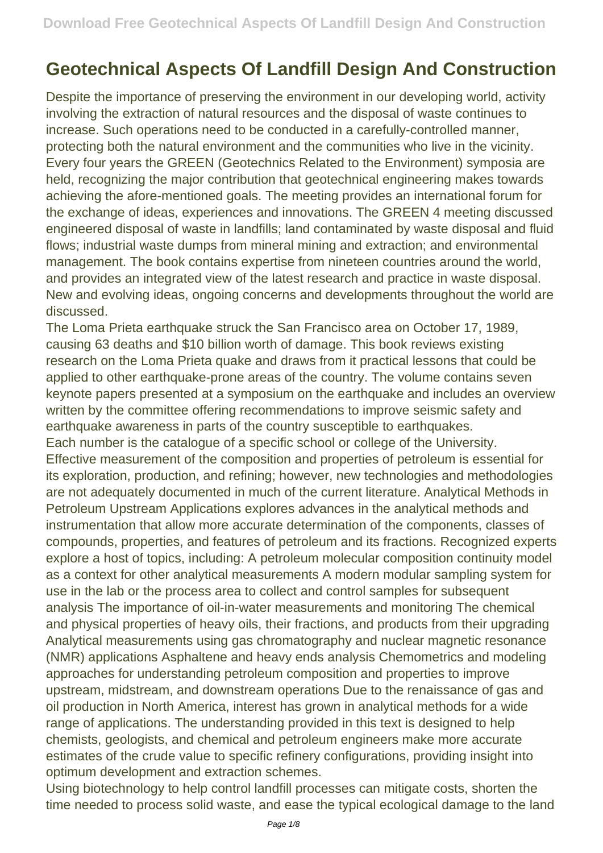## **Geotechnical Aspects Of Landfill Design And Construction**

Despite the importance of preserving the environment in our developing world, activity involving the extraction of natural resources and the disposal of waste continues to increase. Such operations need to be conducted in a carefully-controlled manner, protecting both the natural environment and the communities who live in the vicinity. Every four years the GREEN (Geotechnics Related to the Environment) symposia are held, recognizing the major contribution that geotechnical engineering makes towards achieving the afore-mentioned goals. The meeting provides an international forum for the exchange of ideas, experiences and innovations. The GREEN 4 meeting discussed engineered disposal of waste in landfills; land contaminated by waste disposal and fluid flows; industrial waste dumps from mineral mining and extraction; and environmental management. The book contains expertise from nineteen countries around the world, and provides an integrated view of the latest research and practice in waste disposal. New and evolving ideas, ongoing concerns and developments throughout the world are discussed.

The Loma Prieta earthquake struck the San Francisco area on October 17, 1989, causing 63 deaths and \$10 billion worth of damage. This book reviews existing research on the Loma Prieta quake and draws from it practical lessons that could be applied to other earthquake-prone areas of the country. The volume contains seven keynote papers presented at a symposium on the earthquake and includes an overview written by the committee offering recommendations to improve seismic safety and earthquake awareness in parts of the country susceptible to earthquakes. Each number is the catalogue of a specific school or college of the University. Effective measurement of the composition and properties of petroleum is essential for its exploration, production, and refining; however, new technologies and methodologies are not adequately documented in much of the current literature. Analytical Methods in Petroleum Upstream Applications explores advances in the analytical methods and instrumentation that allow more accurate determination of the components, classes of compounds, properties, and features of petroleum and its fractions. Recognized experts explore a host of topics, including: A petroleum molecular composition continuity model as a context for other analytical measurements A modern modular sampling system for use in the lab or the process area to collect and control samples for subsequent analysis The importance of oil-in-water measurements and monitoring The chemical and physical properties of heavy oils, their fractions, and products from their upgrading Analytical measurements using gas chromatography and nuclear magnetic resonance (NMR) applications Asphaltene and heavy ends analysis Chemometrics and modeling approaches for understanding petroleum composition and properties to improve upstream, midstream, and downstream operations Due to the renaissance of gas and oil production in North America, interest has grown in analytical methods for a wide range of applications. The understanding provided in this text is designed to help chemists, geologists, and chemical and petroleum engineers make more accurate estimates of the crude value to specific refinery configurations, providing insight into optimum development and extraction schemes.

Using biotechnology to help control landfill processes can mitigate costs, shorten the time needed to process solid waste, and ease the typical ecological damage to the land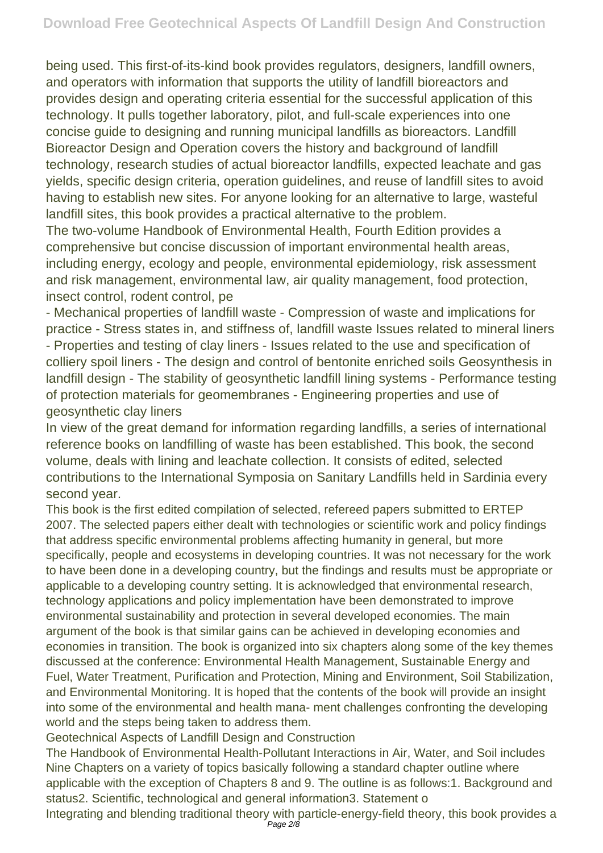being used. This first-of-its-kind book provides regulators, designers, landfill owners, and operators with information that supports the utility of landfill bioreactors and provides design and operating criteria essential for the successful application of this technology. It pulls together laboratory, pilot, and full-scale experiences into one concise guide to designing and running municipal landfills as bioreactors. Landfill Bioreactor Design and Operation covers the history and background of landfill technology, research studies of actual bioreactor landfills, expected leachate and gas yields, specific design criteria, operation guidelines, and reuse of landfill sites to avoid having to establish new sites. For anyone looking for an alternative to large, wasteful landfill sites, this book provides a practical alternative to the problem.

The two-volume Handbook of Environmental Health, Fourth Edition provides a comprehensive but concise discussion of important environmental health areas, including energy, ecology and people, environmental epidemiology, risk assessment and risk management, environmental law, air quality management, food protection, insect control, rodent control, pe

- Mechanical properties of landfill waste - Compression of waste and implications for practice - Stress states in, and stiffness of, landfill waste Issues related to mineral liners - Properties and testing of clay liners - Issues related to the use and specification of colliery spoil liners - The design and control of bentonite enriched soils Geosynthesis in landfill design - The stability of geosynthetic landfill lining systems - Performance testing of protection materials for geomembranes - Engineering properties and use of geosynthetic clay liners

In view of the great demand for information regarding landfills, a series of international reference books on landfilling of waste has been established. This book, the second volume, deals with lining and leachate collection. It consists of edited, selected contributions to the International Symposia on Sanitary Landfills held in Sardinia every second year.

This book is the first edited compilation of selected, refereed papers submitted to ERTEP 2007. The selected papers either dealt with technologies or scientific work and policy findings that address specific environmental problems affecting humanity in general, but more specifically, people and ecosystems in developing countries. It was not necessary for the work to have been done in a developing country, but the findings and results must be appropriate or applicable to a developing country setting. It is acknowledged that environmental research, technology applications and policy implementation have been demonstrated to improve environmental sustainability and protection in several developed economies. The main argument of the book is that similar gains can be achieved in developing economies and economies in transition. The book is organized into six chapters along some of the key themes discussed at the conference: Environmental Health Management, Sustainable Energy and Fuel, Water Treatment, Purification and Protection, Mining and Environment, Soil Stabilization, and Environmental Monitoring. It is hoped that the contents of the book will provide an insight into some of the environmental and health mana- ment challenges confronting the developing world and the steps being taken to address them.

Geotechnical Aspects of Landfill Design and Construction

The Handbook of Environmental Health-Pollutant Interactions in Air, Water, and Soil includes Nine Chapters on a variety of topics basically following a standard chapter outline where applicable with the exception of Chapters 8 and 9. The outline is as follows:1. Background and status2. Scientific, technological and general information3. Statement o

Integrating and blending traditional theory with particle-energy-field theory, this book provides a Page 2/8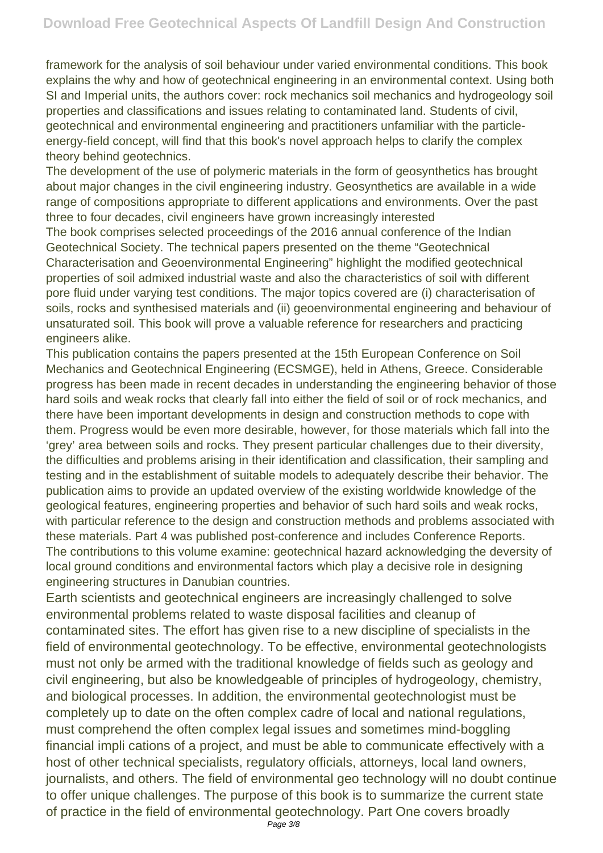framework for the analysis of soil behaviour under varied environmental conditions. This book explains the why and how of geotechnical engineering in an environmental context. Using both SI and Imperial units, the authors cover: rock mechanics soil mechanics and hydrogeology soil properties and classifications and issues relating to contaminated land. Students of civil, geotechnical and environmental engineering and practitioners unfamiliar with the particleenergy-field concept, will find that this book's novel approach helps to clarify the complex theory behind geotechnics.

The development of the use of polymeric materials in the form of geosynthetics has brought about major changes in the civil engineering industry. Geosynthetics are available in a wide range of compositions appropriate to different applications and environments. Over the past three to four decades, civil engineers have grown increasingly interested

The book comprises selected proceedings of the 2016 annual conference of the Indian Geotechnical Society. The technical papers presented on the theme "Geotechnical Characterisation and Geoenvironmental Engineering" highlight the modified geotechnical properties of soil admixed industrial waste and also the characteristics of soil with different pore fluid under varying test conditions. The major topics covered are (i) characterisation of soils, rocks and synthesised materials and (ii) geoenvironmental engineering and behaviour of unsaturated soil. This book will prove a valuable reference for researchers and practicing engineers alike.

This publication contains the papers presented at the 15th European Conference on Soil Mechanics and Geotechnical Engineering (ECSMGE), held in Athens, Greece. Considerable progress has been made in recent decades in understanding the engineering behavior of those hard soils and weak rocks that clearly fall into either the field of soil or of rock mechanics, and there have been important developments in design and construction methods to cope with them. Progress would be even more desirable, however, for those materials which fall into the 'grey' area between soils and rocks. They present particular challenges due to their diversity, the difficulties and problems arising in their identification and classification, their sampling and testing and in the establishment of suitable models to adequately describe their behavior. The publication aims to provide an updated overview of the existing worldwide knowledge of the geological features, engineering properties and behavior of such hard soils and weak rocks, with particular reference to the design and construction methods and problems associated with these materials. Part 4 was published post-conference and includes Conference Reports. The contributions to this volume examine: geotechnical hazard acknowledging the deversity of local ground conditions and environmental factors which play a decisive role in designing engineering structures in Danubian countries.

Earth scientists and geotechnical engineers are increasingly challenged to solve environmental problems related to waste disposal facilities and cleanup of contaminated sites. The effort has given rise to a new discipline of specialists in the field of environmental geotechnology. To be effective, environmental geotechnologists must not only be armed with the traditional knowledge of fields such as geology and civil engineering, but also be knowledgeable of principles of hydrogeology, chemistry, and biological processes. In addition, the environmental geotechnologist must be completely up to date on the often complex cadre of local and national regulations, must comprehend the often complex legal issues and sometimes mind-boggling financial impli cations of a project, and must be able to communicate effectively with a host of other technical specialists, regulatory officials, attorneys, local land owners, journalists, and others. The field of environmental geo technology will no doubt continue to offer unique challenges. The purpose of this book is to summarize the current state of practice in the field of environmental geotechnology. Part One covers broadly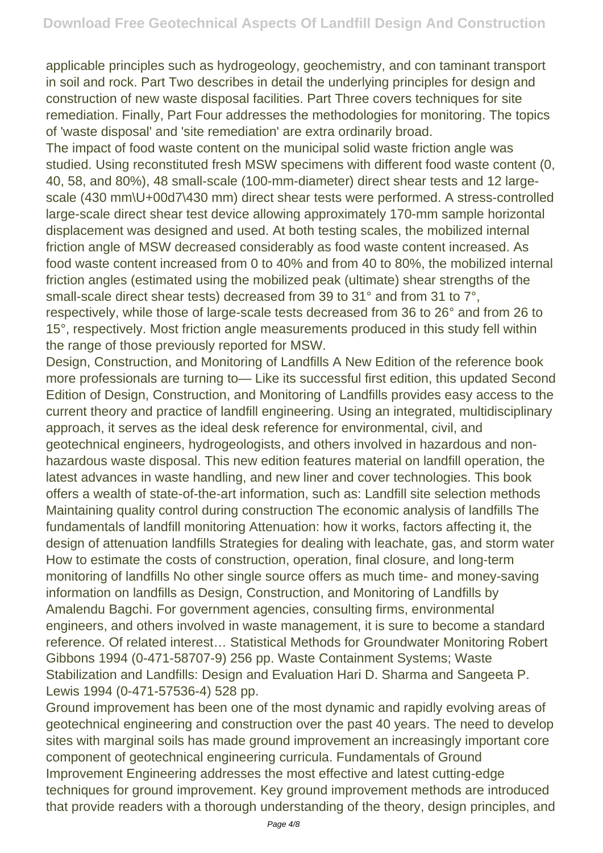applicable principles such as hydrogeology, geochemistry, and con taminant transport in soil and rock. Part Two describes in detail the underlying principles for design and construction of new waste disposal facilities. Part Three covers techniques for site remediation. Finally, Part Four addresses the methodologies for monitoring. The topics of 'waste disposal' and 'site remediation' are extra ordinarily broad.

The impact of food waste content on the municipal solid waste friction angle was studied. Using reconstituted fresh MSW specimens with different food waste content (0, 40, 58, and 80%), 48 small-scale (100-mm-diameter) direct shear tests and 12 largescale (430 mm\U+00d7\430 mm) direct shear tests were performed. A stress-controlled large-scale direct shear test device allowing approximately 170-mm sample horizontal displacement was designed and used. At both testing scales, the mobilized internal friction angle of MSW decreased considerably as food waste content increased. As food waste content increased from 0 to 40% and from 40 to 80%, the mobilized internal friction angles (estimated using the mobilized peak (ultimate) shear strengths of the small-scale direct shear tests) decreased from 39 to 31° and from 31 to 7°, respectively, while those of large-scale tests decreased from 36 to 26° and from 26 to 15°, respectively. Most friction angle measurements produced in this study fell within the range of those previously reported for MSW.

Design, Construction, and Monitoring of Landfills A New Edition of the reference book more professionals are turning to— Like its successful first edition, this updated Second Edition of Design, Construction, and Monitoring of Landfills provides easy access to the current theory and practice of landfill engineering. Using an integrated, multidisciplinary approach, it serves as the ideal desk reference for environmental, civil, and geotechnical engineers, hydrogeologists, and others involved in hazardous and nonhazardous waste disposal. This new edition features material on landfill operation, the latest advances in waste handling, and new liner and cover technologies. This book offers a wealth of state-of-the-art information, such as: Landfill site selection methods Maintaining quality control during construction The economic analysis of landfills The fundamentals of landfill monitoring Attenuation: how it works, factors affecting it, the design of attenuation landfills Strategies for dealing with leachate, gas, and storm water How to estimate the costs of construction, operation, final closure, and long-term monitoring of landfills No other single source offers as much time- and money-saving information on landfills as Design, Construction, and Monitoring of Landfills by Amalendu Bagchi. For government agencies, consulting firms, environmental engineers, and others involved in waste management, it is sure to become a standard reference. Of related interest… Statistical Methods for Groundwater Monitoring Robert Gibbons 1994 (0-471-58707-9) 256 pp. Waste Containment Systems; Waste Stabilization and Landfills: Design and Evaluation Hari D. Sharma and Sangeeta P. Lewis 1994 (0-471-57536-4) 528 pp.

Ground improvement has been one of the most dynamic and rapidly evolving areas of geotechnical engineering and construction over the past 40 years. The need to develop sites with marginal soils has made ground improvement an increasingly important core component of geotechnical engineering curricula. Fundamentals of Ground Improvement Engineering addresses the most effective and latest cutting-edge techniques for ground improvement. Key ground improvement methods are introduced that provide readers with a thorough understanding of the theory, design principles, and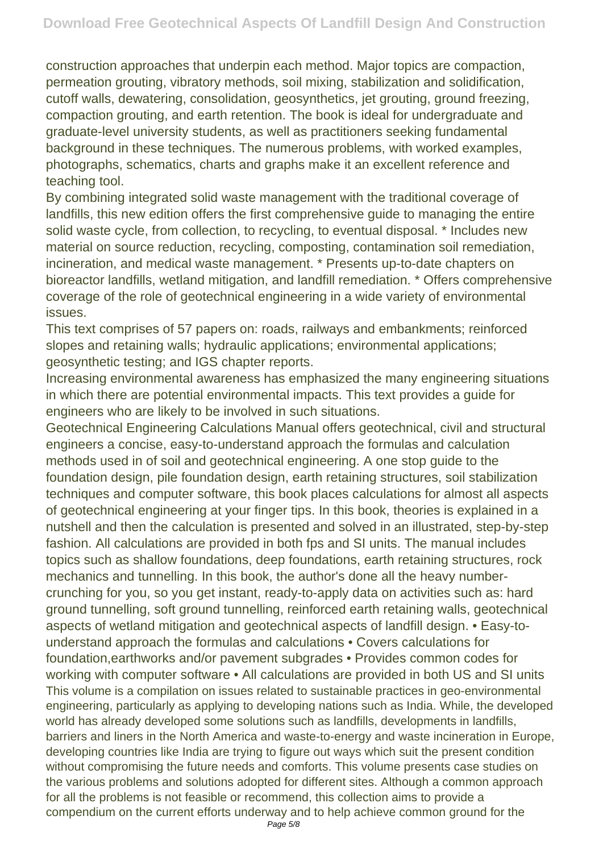construction approaches that underpin each method. Major topics are compaction, permeation grouting, vibratory methods, soil mixing, stabilization and solidification, cutoff walls, dewatering, consolidation, geosynthetics, jet grouting, ground freezing, compaction grouting, and earth retention. The book is ideal for undergraduate and graduate-level university students, as well as practitioners seeking fundamental background in these techniques. The numerous problems, with worked examples, photographs, schematics, charts and graphs make it an excellent reference and teaching tool.

By combining integrated solid waste management with the traditional coverage of landfills, this new edition offers the first comprehensive guide to managing the entire solid waste cycle, from collection, to recycling, to eventual disposal. \* Includes new material on source reduction, recycling, composting, contamination soil remediation, incineration, and medical waste management. \* Presents up-to-date chapters on bioreactor landfills, wetland mitigation, and landfill remediation. \* Offers comprehensive coverage of the role of geotechnical engineering in a wide variety of environmental issues.

This text comprises of 57 papers on: roads, railways and embankments; reinforced slopes and retaining walls; hydraulic applications; environmental applications; geosynthetic testing; and IGS chapter reports.

Increasing environmental awareness has emphasized the many engineering situations in which there are potential environmental impacts. This text provides a guide for engineers who are likely to be involved in such situations.

Geotechnical Engineering Calculations Manual offers geotechnical, civil and structural engineers a concise, easy-to-understand approach the formulas and calculation methods used in of soil and geotechnical engineering. A one stop guide to the foundation design, pile foundation design, earth retaining structures, soil stabilization techniques and computer software, this book places calculations for almost all aspects of geotechnical engineering at your finger tips. In this book, theories is explained in a nutshell and then the calculation is presented and solved in an illustrated, step-by-step fashion. All calculations are provided in both fps and SI units. The manual includes topics such as shallow foundations, deep foundations, earth retaining structures, rock mechanics and tunnelling. In this book, the author's done all the heavy numbercrunching for you, so you get instant, ready-to-apply data on activities such as: hard ground tunnelling, soft ground tunnelling, reinforced earth retaining walls, geotechnical aspects of wetland mitigation and geotechnical aspects of landfill design. • Easy-tounderstand approach the formulas and calculations • Covers calculations for foundation,earthworks and/or pavement subgrades • Provides common codes for working with computer software • All calculations are provided in both US and SI units This volume is a compilation on issues related to sustainable practices in geo-environmental engineering, particularly as applying to developing nations such as India. While, the developed world has already developed some solutions such as landfills, developments in landfills, barriers and liners in the North America and waste-to-energy and waste incineration in Europe, developing countries like India are trying to figure out ways which suit the present condition without compromising the future needs and comforts. This volume presents case studies on the various problems and solutions adopted for different sites. Although a common approach for all the problems is not feasible or recommend, this collection aims to provide a compendium on the current efforts underway and to help achieve common ground for the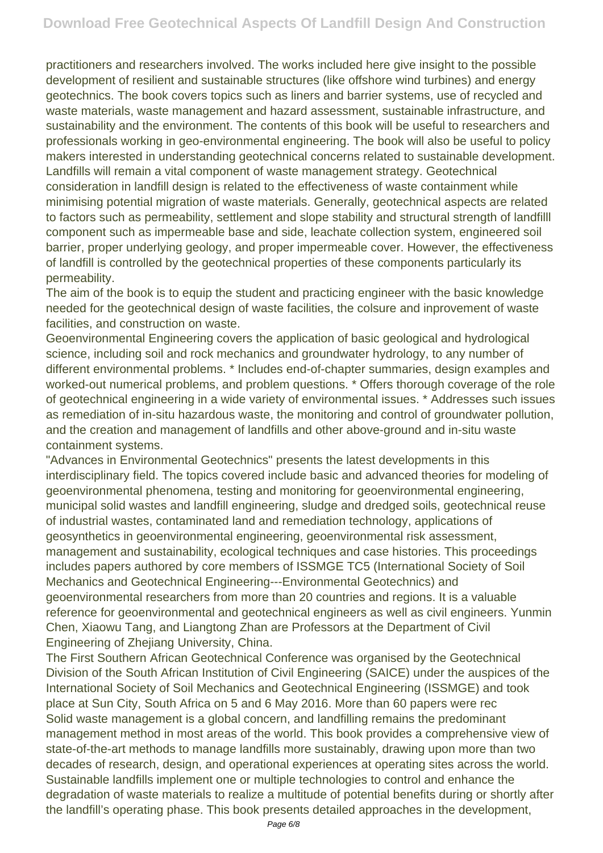practitioners and researchers involved. The works included here give insight to the possible development of resilient and sustainable structures (like offshore wind turbines) and energy geotechnics. The book covers topics such as liners and barrier systems, use of recycled and waste materials, waste management and hazard assessment, sustainable infrastructure, and sustainability and the environment. The contents of this book will be useful to researchers and professionals working in geo-environmental engineering. The book will also be useful to policy makers interested in understanding geotechnical concerns related to sustainable development. Landfills will remain a vital component of waste management strategy. Geotechnical consideration in landfill design is related to the effectiveness of waste containment while minimising potential migration of waste materials. Generally, geotechnical aspects are related to factors such as permeability, settlement and slope stability and structural strength of landfilll component such as impermeable base and side, leachate collection system, engineered soil barrier, proper underlying geology, and proper impermeable cover. However, the effectiveness of landfill is controlled by the geotechnical properties of these components particularly its permeability.

The aim of the book is to equip the student and practicing engineer with the basic knowledge needed for the geotechnical design of waste facilities, the colsure and inprovement of waste facilities, and construction on waste.

Geoenvironmental Engineering covers the application of basic geological and hydrological science, including soil and rock mechanics and groundwater hydrology, to any number of different environmental problems. \* Includes end-of-chapter summaries, design examples and worked-out numerical problems, and problem questions. \* Offers thorough coverage of the role of geotechnical engineering in a wide variety of environmental issues. \* Addresses such issues as remediation of in-situ hazardous waste, the monitoring and control of groundwater pollution, and the creation and management of landfills and other above-ground and in-situ waste containment systems.

"Advances in Environmental Geotechnics" presents the latest developments in this interdisciplinary field. The topics covered include basic and advanced theories for modeling of geoenvironmental phenomena, testing and monitoring for geoenvironmental engineering, municipal solid wastes and landfill engineering, sludge and dredged soils, geotechnical reuse of industrial wastes, contaminated land and remediation technology, applications of geosynthetics in geoenvironmental engineering, geoenvironmental risk assessment, management and sustainability, ecological techniques and case histories. This proceedings includes papers authored by core members of ISSMGE TC5 (International Society of Soil Mechanics and Geotechnical Engineering---Environmental Geotechnics) and geoenvironmental researchers from more than 20 countries and regions. It is a valuable reference for geoenvironmental and geotechnical engineers as well as civil engineers. Yunmin Chen, Xiaowu Tang, and Liangtong Zhan are Professors at the Department of Civil Engineering of Zhejiang University, China.

The First Southern African Geotechnical Conference was organised by the Geotechnical Division of the South African Institution of Civil Engineering (SAICE) under the auspices of the International Society of Soil Mechanics and Geotechnical Engineering (ISSMGE) and took place at Sun City, South Africa on 5 and 6 May 2016. More than 60 papers were rec Solid waste management is a global concern, and landfilling remains the predominant management method in most areas of the world. This book provides a comprehensive view of state-of-the-art methods to manage landfills more sustainably, drawing upon more than two decades of research, design, and operational experiences at operating sites across the world. Sustainable landfills implement one or multiple technologies to control and enhance the degradation of waste materials to realize a multitude of potential benefits during or shortly after the landfill's operating phase. This book presents detailed approaches in the development,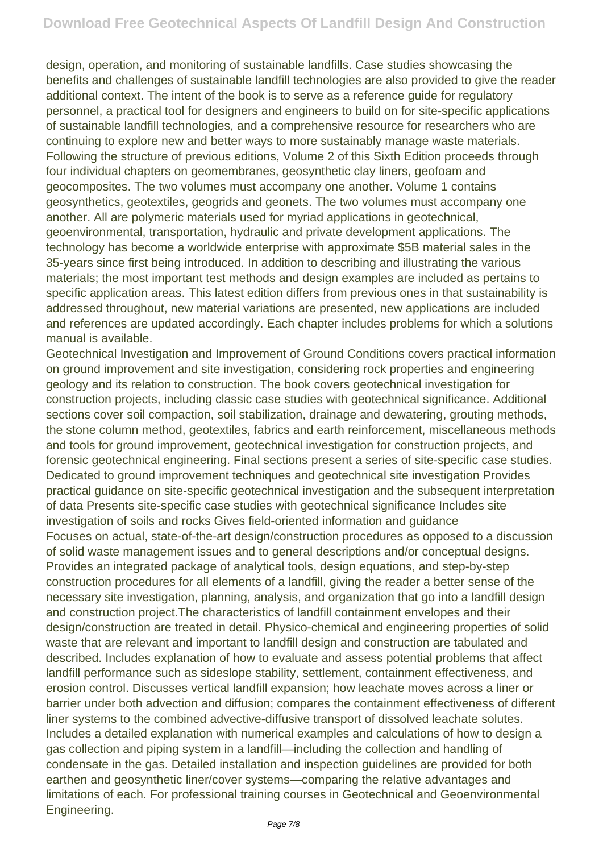design, operation, and monitoring of sustainable landfills. Case studies showcasing the benefits and challenges of sustainable landfill technologies are also provided to give the reader additional context. The intent of the book is to serve as a reference guide for regulatory personnel, a practical tool for designers and engineers to build on for site-specific applications of sustainable landfill technologies, and a comprehensive resource for researchers who are continuing to explore new and better ways to more sustainably manage waste materials. Following the structure of previous editions, Volume 2 of this Sixth Edition proceeds through four individual chapters on geomembranes, geosynthetic clay liners, geofoam and geocomposites. The two volumes must accompany one another. Volume 1 contains geosynthetics, geotextiles, geogrids and geonets. The two volumes must accompany one another. All are polymeric materials used for myriad applications in geotechnical, geoenvironmental, transportation, hydraulic and private development applications. The technology has become a worldwide enterprise with approximate \$5B material sales in the 35-years since first being introduced. In addition to describing and illustrating the various materials; the most important test methods and design examples are included as pertains to specific application areas. This latest edition differs from previous ones in that sustainability is addressed throughout, new material variations are presented, new applications are included and references are updated accordingly. Each chapter includes problems for which a solutions manual is available.

Geotechnical Investigation and Improvement of Ground Conditions covers practical information on ground improvement and site investigation, considering rock properties and engineering geology and its relation to construction. The book covers geotechnical investigation for construction projects, including classic case studies with geotechnical significance. Additional sections cover soil compaction, soil stabilization, drainage and dewatering, grouting methods, the stone column method, geotextiles, fabrics and earth reinforcement, miscellaneous methods and tools for ground improvement, geotechnical investigation for construction projects, and forensic geotechnical engineering. Final sections present a series of site-specific case studies. Dedicated to ground improvement techniques and geotechnical site investigation Provides practical guidance on site-specific geotechnical investigation and the subsequent interpretation of data Presents site-specific case studies with geotechnical significance Includes site investigation of soils and rocks Gives field-oriented information and guidance Focuses on actual, state-of-the-art design/construction procedures as opposed to a discussion of solid waste management issues and to general descriptions and/or conceptual designs. Provides an integrated package of analytical tools, design equations, and step-by-step construction procedures for all elements of a landfill, giving the reader a better sense of the necessary site investigation, planning, analysis, and organization that go into a landfill design and construction project.The characteristics of landfill containment envelopes and their design/construction are treated in detail. Physico-chemical and engineering properties of solid waste that are relevant and important to landfill design and construction are tabulated and described. Includes explanation of how to evaluate and assess potential problems that affect landfill performance such as sideslope stability, settlement, containment effectiveness, and erosion control. Discusses vertical landfill expansion; how leachate moves across a liner or barrier under both advection and diffusion; compares the containment effectiveness of different liner systems to the combined advective-diffusive transport of dissolved leachate solutes. Includes a detailed explanation with numerical examples and calculations of how to design a gas collection and piping system in a landfill—including the collection and handling of condensate in the gas. Detailed installation and inspection guidelines are provided for both earthen and geosynthetic liner/cover systems—comparing the relative advantages and limitations of each. For professional training courses in Geotechnical and Geoenvironmental Engineering.